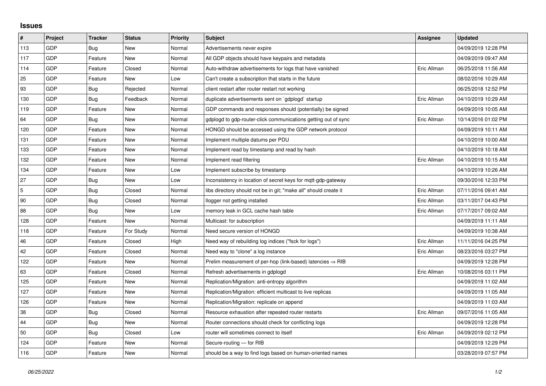## **Issues**

| #   | Project    | <b>Tracker</b> | <b>Status</b> | <b>Priority</b> | <b>Subject</b>                                                         | Assignee    | <b>Updated</b>      |
|-----|------------|----------------|---------------|-----------------|------------------------------------------------------------------------|-------------|---------------------|
| 113 | GDP        | Bug            | <b>New</b>    | Normal          | Advertisements never expire                                            |             | 04/09/2019 12:28 PM |
| 117 | GDP        | Feature        | New           | Normal          | All GDP objects should have keypairs and metadata                      |             | 04/09/2019 09:47 AM |
| 114 | GDP        | Feature        | Closed        | Normal          | Auto-withdraw advertisements for logs that have vanished               | Eric Allman | 06/25/2018 11:56 AM |
| 25  | GDP        | Feature        | <b>New</b>    | Low             | Can't create a subscription that starts in the future                  |             | 08/02/2016 10:29 AM |
| 93  | GDP        | Bug            | Rejected      | Normal          | client restart after router restart not working                        |             | 06/25/2018 12:52 PM |
| 130 | GDP        | Bug            | Feedback      | Normal          | duplicate advertisements sent on `gdplogd` startup                     | Eric Allman | 04/10/2019 10:29 AM |
| 119 | GDP        | Feature        | <b>New</b>    | Normal          | GDP commands and responses should (potentially) be signed              |             | 04/09/2019 10:05 AM |
| 64  | GDP        | Bug            | New           | Normal          | gdplogd to gdp-router-click communications getting out of sync         | Eric Allman | 10/14/2016 01:02 PM |
| 120 | GDP        | Feature        | New           | Normal          | HONGD should be accessed using the GDP network protocol                |             | 04/09/2019 10:11 AM |
| 131 | GDP        | Feature        | New           | Normal          | Implement multiple datums per PDU                                      |             | 04/10/2019 10:00 AM |
| 133 | GDP        | Feature        | New           | Normal          | Implement read by timestamp and read by hash                           |             | 04/10/2019 10:18 AM |
| 132 | GDP        | Feature        | New           | Normal          | Implement read filtering                                               | Eric Allman | 04/10/2019 10:15 AM |
| 134 | GDP        | Feature        | New           | Low             | Implement subscribe by timestamp                                       |             | 04/10/2019 10:26 AM |
| 27  | GDP        | Bug            | New           | Low             | Inconsistency in location of secret keys for mqtt-gdp-gateway          |             | 09/30/2016 12:33 PM |
| 5   | GDP        | <b>Bug</b>     | Closed        | Normal          | libs directory should not be in git; "make all" should create it       | Eric Allman | 07/11/2016 09:41 AM |
| 90  | GDP        | Bug            | Closed        | Normal          | llogger not getting installed                                          | Eric Allman | 03/11/2017 04:43 PM |
| 88  | GDP        | Bug            | New           | Low             | memory leak in GCL cache hash table                                    | Eric Allman | 07/17/2017 09:02 AM |
| 128 | GDP        | Feature        | <b>New</b>    | Normal          | Multicast: for subscription                                            |             | 04/09/2019 11:11 AM |
| 118 | GDP        | Feature        | For Study     | Normal          | Need secure version of HONGD                                           |             | 04/09/2019 10:38 AM |
| 46  | GDP        | Feature        | Closed        | High            | Need way of rebuilding log indices ("fsck for logs")                   | Eric Allman | 11/11/2016 04:25 PM |
| 42  | GDP        | Feature        | Closed        | Normal          | Need way to "clone" a log instance                                     | Eric Allman | 08/23/2016 03:27 PM |
| 122 | GDP        | Feature        | <b>New</b>    | Normal          | Prelim measurement of per-hop (link-based) latencies $\Rightarrow$ RIB |             | 04/09/2019 12:28 PM |
| 63  | GDP        | Feature        | Closed        | Normal          | Refresh advertisements in gdplogd                                      | Eric Allman | 10/08/2016 03:11 PM |
| 125 | GDP        | Feature        | New           | Normal          | Replication/Migration: anti-entropy algorithm                          |             | 04/09/2019 11:02 AM |
| 127 | <b>GDP</b> | Feature        | New           | Normal          | Replication/Migration: efficient multicast to live replicas            |             | 04/09/2019 11:05 AM |
| 126 | GDP        | Feature        | New           | Normal          | Replication/Migration: replicate on append                             |             | 04/09/2019 11:03 AM |
| 38  | GDP        | <b>Bug</b>     | Closed        | Normal          | Resource exhaustion after repeated router restarts                     | Eric Allman | 09/07/2016 11:05 AM |
| 44  | <b>GDP</b> | <b>Bug</b>     | <b>New</b>    | Normal          | Router connections should check for conflicting logs                   |             | 04/09/2019 12:28 PM |
| 50  | GDP        | Bug            | Closed        | Low             | router will sometimes connect to itself                                | Eric Allman | 04/09/2019 02:12 PM |
| 124 | GDP        | Feature        | New           | Normal          | Secure-routing - for RIB                                               |             | 04/09/2019 12:29 PM |
| 116 | GDP        | Feature        | New           | Normal          | should be a way to find logs based on human-oriented names             |             | 03/28/2019 07:57 PM |